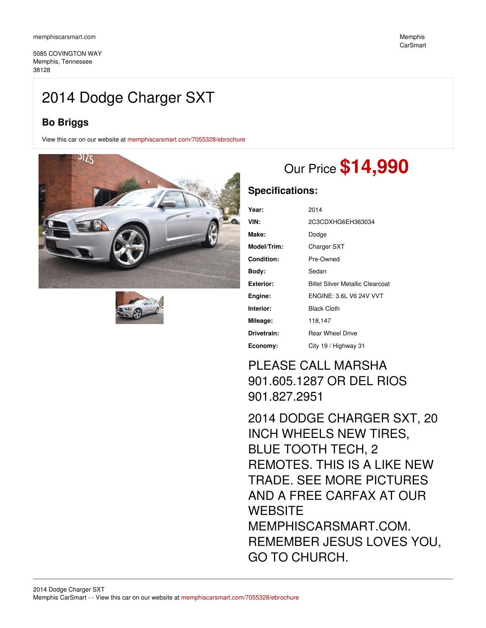5085 COVINGTON WAY Memphis, Tennessee 38128

## 2014 Dodge Charger SXT

## **Bo Briggs**

View this car on our website at [memphiscarsmart.com/7055328/ebrochure](https://memphiscarsmart.com/vehicle/7055328/2014-dodge-charger-sxt-memphis-tennessee-38128/7055328/ebrochure)





# Our Price **\$14,990**

### **Specifications:**

| Year:            | 2014                             |
|------------------|----------------------------------|
| VIN:             | 2C3CDXHG6EH363034                |
| Make:            | Dodge                            |
| Model/Trim:      | <b>Charger SXT</b>               |
| Condition:       | Pre-Owned                        |
| Bodv:            | Sedan                            |
| <b>Exterior:</b> | Billet Silver Metallic Clearcoat |
| Engine:          | <b>ENGINE: 3.6L V6 24V VVT</b>   |
| Interior:        | <b>Black Cloth</b>               |
| Mileage:         | 118,147                          |
| Drivetrain:      | <b>Rear Wheel Drive</b>          |
| Economy:         | City 19 / Highway 31             |

## PLEASE CALL MARSHA 901.605.1287 OR DEL RIOS 901.827.2951

2014 DODGE CHARGER SXT, 20 INCH WHEELS NEW TIRES, BLUE TOOTH TECH, 2 REMOTES. THIS IS A LIKE NEW TRADE. SEE MORE PICTURES AND A FREE CARFAX AT OUR **WEBSITE** MEMPHISCARSMART.COM. REMEMBER JESUS LOVES YOU, GO TO CHURCH.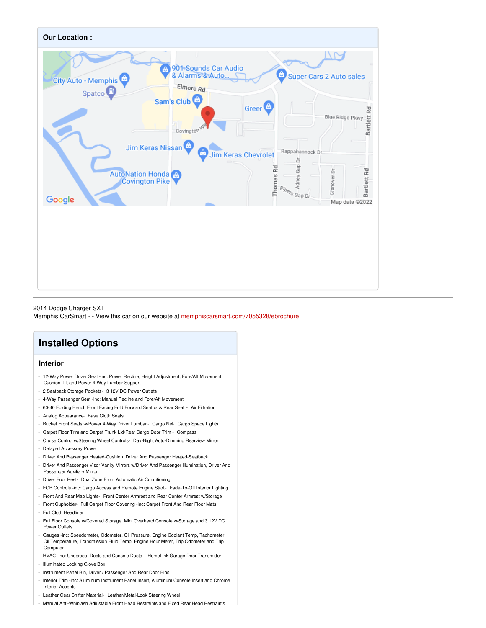

2014 Dodge Charger SXT Memphis CarSmart - - View this car on our website at [memphiscarsmart.com/7055328/ebrochure](https://memphiscarsmart.com/vehicle/7055328/2014-dodge-charger-sxt-memphis-tennessee-38128/7055328/ebrochure)

## **Installed Options**

### **Interior**

- 12-Way Power Driver Seat -inc: Power Recline, Height Adjustment, Fore/Aft Movement, Cushion Tilt and Power 4-Way Lumbar Support
- 2 Seatback Storage Pockets- 3 12V DC Power Outlets
- 4-Way Passenger Seat -inc: Manual Recline and Fore/Aft Movement
- 60-40 Folding Bench Front Facing Fold Forward Seatback Rear Seat Air Filtration
- Analog Appearance- Base Cloth Seats
- Bucket Front Seats w/Power 4-Way Driver Lumbar Cargo Net- Cargo Space Lights
- Carpet Floor Trim and Carpet Trunk Lid/Rear Cargo Door Trim Compass
- Cruise Control w/Steering Wheel Controls- Day-Night Auto-Dimming Rearview Mirror - Delayed Accessory Power
- Driver And Passenger Heated-Cushion, Driver And Passenger Heated-Seatback
- Driver And Passenger Visor Vanity Mirrors w/Driver And Passenger Illumination, Driver And Passenger Auxiliary Mirror
- Driver Foot Rest- Dual Zone Front Automatic Air Conditioning
- FOB Controls -inc: Cargo Access and Remote Engine Start- Fade-To-Off Interior Lighting
- Front And Rear Map Lights- Front Center Armrest and Rear Center Armrest w/Storage
- Front Cupholder- Full Carpet Floor Covering -inc: Carpet Front And Rear Floor Mats
- Full Cloth Headliner
- Full Floor Console w/Covered Storage, Mini Overhead Console w/Storage and 3 12V DC Power Outlets
- Gauges -inc: Speedometer, Odometer, Oil Pressure, Engine Coolant Temp, Tachometer, Oil Temperature, Transmission Fluid Temp, Engine Hour Meter, Trip Odometer and Trip **Computer**
- HVAC -inc: Underseat Ducts and Console Ducts HomeLink Garage Door Transmitter
- Illuminated Locking Glove Box
- Instrument Panel Bin, Driver / Passenger And Rear Door Bins
- Interior Trim -inc: Aluminum Instrument Panel Insert, Aluminum Console Insert and Chrome Interior Accents
- Leather Gear Shifter Material- Leather/Metal-Look Steering Wheel
- Manual Anti-Whiplash Adjustable Front Head Restraints and Fixed Rear Head Restraints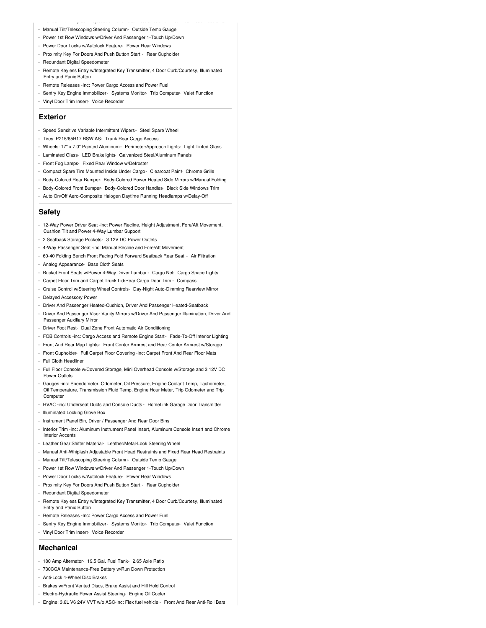- Manual Tilt/Telescoping Steering Column- Outside Temp Gauge
- Power 1st Row Windows w/Driver And Passenger 1-Touch Up/Down
- Power Door Locks w/Autolock Feature- Power Rear Windows
- Proximity Key For Doors And Push Button Start Rear Cupholder
- Redundant Digital Speedomete
- Remote Keyless Entry w/Integrated Key Transmitter, 4 Door Curb/Courtesy, Illuminated Entry and Panic Button

- Manual Anti-Whiplash Adjustable Front Head Restraints and Fixed Rear Head Restraints

- Remote Releases -Inc: Power Cargo Access and Power Fuel
- Sentry Key Engine Immobilizer Systems Monitor- Trip Computer- Valet Function
- Vinyl Door Trim Insert- Voice Recorder

#### **Exterior**

- Speed Sensitive Variable Intermittent Wipers- Steel Spare Wheel
- Tires: P215/65R17 BSW AS- Trunk Rear Cargo Access
- Wheels: 17" x 7.0" Painted Aluminum Perimeter/Approach Lights- Light Tinted Glass
- Laminated Glass- LED Brakelights- Galvanized Steel/Aluminum Panels
- Front Fog Lamps- Fixed Rear Window w/Defroster
- Compact Spare Tire Mounted Inside Under Cargo- Clearcoat Paint- Chrome Grille
- Body-Colored Rear Bumper- Body-Colored Power Heated Side Mirrors w/Manual Folding
- Body-Colored Front Bumper- Body-Colored Door Handles- Black Side Windows Trim
- Auto On/Off Aero-Composite Halogen Daytime Running Headlamps w/Delay-Off

#### **Safety**

- 12-Way Power Driver Seat -inc: Power Recline, Height Adjustment, Fore/Aft Movement, Cushion Tilt and Power 4-Way Lumbar Support
- 2 Seatback Storage Pockets- 3 12V DC Power Outlets
- 4-Way Passenger Seat -inc: Manual Recline and Fore/Aft Movement
- 60-40 Folding Bench Front Facing Fold Forward Seatback Rear Seat Air Filtration
- Analog Appearance- Base Cloth Seats
- Bucket Front Seats w/Power 4-Way Driver Lumbar Cargo Net- Cargo Space Lights
- Carpet Floor Trim and Carpet Trunk Lid/Rear Cargo Door Trim Compass
- Cruise Control w/Steering Wheel Controls- Day-Night Auto-Dimming Rearview Mirror
- Delayed Accessory Power
- Driver And Passenger Heated-Cushion, Driver And Passenger Heated-Seatback
- Driver And Passenger Visor Vanity Mirrors w/Driver And Passenger Illumination, Driver And Passenger Auxiliary Mirror
- Driver Foot Rest- Dual Zone Front Automatic Air Conditioning
- FOB Controls -inc: Cargo Access and Remote Engine Start- Fade-To-Off Interior Lighting
- Front And Rear Map Lights- Front Center Armrest and Rear Center Armrest w/Storage
- Front Cupholder- Full Carpet Floor Covering -inc: Carpet Front And Rear Floor Mats
- Full Cloth Headliner
- Full Floor Console w/Covered Storage, Mini Overhead Console w/Storage and 3 12V DC Power Outlets
- Gauges -inc: Speedometer, Odometer, Oil Pressure, Engine Coolant Temp, Tachometer, Oil Temperature, Transmission Fluid Temp, Engine Hour Meter, Trip Odometer and Trip **Computer**
- HVAC -inc: Underseat Ducts and Console Ducts HomeLink Garage Door Transmitter
- Illuminated Locking Glove Box
- Instrument Panel Bin, Driver / Passenger And Rear Door Bins
- Interior Trim -inc: Aluminum Instrument Panel Insert, Aluminum Console Insert and Chrome Interior Accents
- Leather Gear Shifter Material- Leather/Metal-Look Steering Wheel
- Manual Anti-Whiplash Adjustable Front Head Restraints and Fixed Rear Head Restraints
- Manual Tilt/Telescoping Steering Column- Outside Temp Gauge
- Power 1st Row Windows w/Driver And Passenger 1-Touch Up/Down
- Power Door Locks w/Autolock Feature- Power Rear Windows
- Proximity Key For Doors And Push Button Start Rear Cupholder
- Redundant Digital Speedometer
- Remote Keyless Entry w/Integrated Key Transmitter, 4 Door Curb/Courtesy, Illuminated Entry and Panic Button
- Remote Releases -Inc: Power Cargo Access and Power Fuel
- Sentry Key Engine Immobilizer- Systems Monitor- Trip Computer- Valet Function
- Vinyl Door Trim Insert- Voice Recorder

#### **Mechanical**

- 180 Amp Alternator- 19.5 Gal. Fuel Tank- 2.65 Axle Ratio
- 730CCA Maintenance-Free Battery w/Run Down Protection
- Anti-Lock 4-Wheel Disc Brakes
- Brakes w/Front Vented Discs, Brake Assist and Hill Hold Control
- Electro-Hydraulic Power Assist Steering- Engine Oil Cooler
- Engine: 3.6L V6 24V VVT w/o ASC-inc: Flex fuel vehicle Front And Rear Anti-Roll Bars